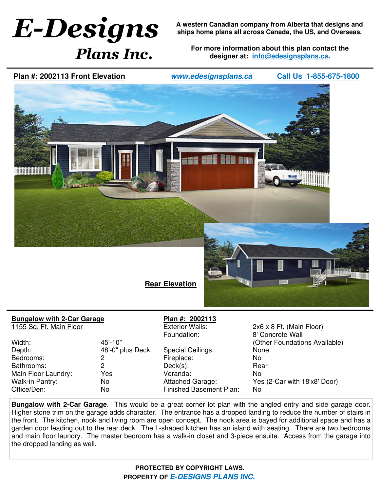## **E-Designs** *Plans Inc.*

**A western Canadian company from Alberta that designs and ships home plans all across Canada, the US, and Overseas.**

**For more information about this plan contact the designer at: info@edesignsplans.ca.**

**Plan #: 2002113 Front Elevation**

**www.edesignsplans.ca Call Us 1-855-675-1800**



## **Bungalow with 2-Car Garage**

1155 Sq. Ft. Main Floor

Width: 45'-10" Depth: 48'-0" plus Deck Bedrooms: 2 Bathrooms: 2 Main Floor Laundry: Yes Walk-in Pantry: No Office/Den: No

## **Plan #: 2002113**

Special Ceilings: None Fireplace: No Deck(s): Rear Veranda: No Finished Basement Plan: No

 $2x6 \times 8$  Ft. (Main Floor) Foundation: 8' Concrete Wall (Other Foundations Available) Attached Garage: Yes (2-Car with 18'x8' Door)

**Bungalow with 2-Car Garage**. This would be a great corner lot plan with the angled entry and side garage door. Higher stone trim on the garage adds character. The entrance has a dropped landing to reduce the number of stairs in the front. The kitchen, nook and living room are open concept. The nook area is bayed for additional space and has a garden door leading out to the rear deck. The L-shaped kitchen has an island with seating. There are two bedrooms and main floor laundry. The master bedroom has a walk-in closet and 3-piece ensuite. Access from the garage into the dropped landing as well.